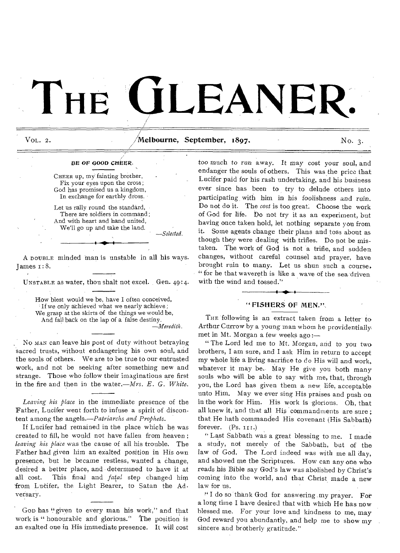# THE **CILEANER**

VOL. 2.  $\sqrt{M}$ elbourne, September, 1897. No. 3.

### *BE* OF GOOD *CHEER•*

CHEER up, my fainting brother, Fix your eyes upon the cross; God has promised us a kingdom, In exchange for earthly dross.

Let us rally round the standard, There are soldiers in command; And with heart and hand united, We'll go up and take the land.

*—Selected.* 

A DOUBLE minded man is unstable in all his ways. James i:8.

UNSTABLE as water, thou shalt not excel. Gen. 49:4•

How blest would we be, have I often conceived, If we only achieved what we nearly achieve; We grasp at the skirts of the things we would be, And fall back on the lap of a false destiny. *—Meredith.* 

No MAN can leave his post of duty without betraying sacred trusts, without endangering his own soul, and the souls of others. We are to be true to our entrusted work, and not be seeking alter something new and strange. Those who follow their imaginations are first in the fire and then in the water.—Mrs. *E. G. White.* 

*Leaving his Place* in the immediate presence of the Father, Lucifer wept forth to infuse a spirit of discontent among the *angels.—Patriarchs and Prophets.* 

If Lucifer had remained in the place which he was created to fill, he would not have fallen from heaven ; *leaving his place* was the cause of all his trouble. The Father had given him an exalted position in His own presence, but be became restless, wanted a change, desired a better place, and determined to have it at all cost. This final and *fatal* step changed him from Lucifer, the Light Bearer, to Satan the Adversary.

Goo has "given to every man his work," and that work is " honourable and glorious." The position is an exalted one in His immediate presence. It will cost too much to run away. It may cost your soul, and endanger the souls of others. This was the price that Lucifer paid for his rash undertaking, and his business ever since has been to try to delude others into participating, with him in his foolishness and ruin. Do not do it. The *cost* is too great. Choose the work of God for life. Do not try it as an experiment, but having once taken hold, let nothing separate you from it. Some agents change their plans and toss about as though they were dealing with trifles. Do not be mistaken. The work of God is not a trifle, and sudden changes, without careful counsel and prayer, have brought ruin to many. Let us shun such a course, " for he that wavereth is like a wave of the sea driven with the wind and tossed." with the wind and tossed."

# "FISHERS OF MEN.",

THE following is an extract taken from a letter to Arthur Currow by a young man whom he providentially met in Mt. Morgan a few weeks ago :—

" The Lord led me to Mt. Morgan, and to you two brothers, I am sure, and I ask Him in return to accept my whole life a living sacrifice to do His will and work,, whatever it may be. May He give you both many souls who will be able to say with me, that, through you, the Lord has given them a new life, acceptable unto Him. May we ever sing His praises and push on in the work for Him. His work is glorious. Oh, that all knew it, and that all His commandments are sure; that He hath commanded His covenant (His Sabbath) forever.  $(Ps. II1)$ .

" Last Sabbath was a great blessing to me. I made a study, not merely of the Sabbath, but of the law of God. The Lord indeed was with me all day, and showed me the Scriptures. How can any one whoreads his Bible say God's law was abolished by Christ's coming into the world, and that Christ made a new law for us.

" I do so thank God for answering ,my prayer. For a long time I have desired that with which He has now blessed me. For your love and kindness to me, may God reward you abundantly, and help me to show my sincere and brotherly gratitude."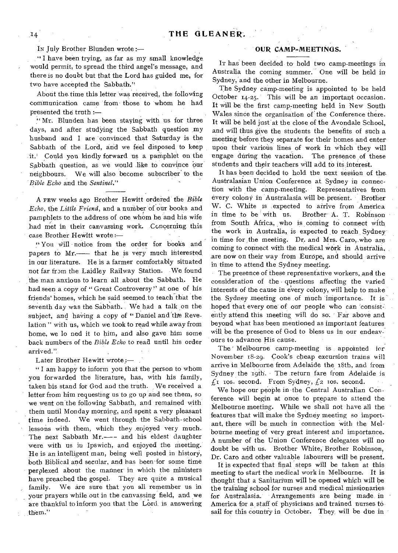IN July Brother Blunden wrote :—

" I have been trying, as far as my small knowledge would permit, to spread the third angel's message, and there is no doubt but that the Lord has guided me, for two have accepted the Sabbath."

About the time this letter was received, the following communication came from those to whom he had presented the truth

Mr. Blunden has been staying with us for three days, and after studying the Sabbath question my husband and I are convinced that Saturday is the Sabbath of the Lord, and we feel disposed to keep it.' Could you kindly forward us a pamphlet on the Sabbath question, as we would like to convince Our neighbours. We will also become subscriber' to the *Bible Echo* and the *Sentinel."* 

A FEW weeks ago Brother Hewitt ordered-the *Bible Echo, the Little Friend, and a number of our books and* pamphlets to the address of one whom he and his wife had met in their canvassing work. Concerning this case Brother HeWitt wrote :—

" You will notice from the order for hooks and papers to Mr.— that he is very much interested. in our literature. He is a farmer comfortably situated not far from the Laidley Railway Station. -We found the man anxious to learn all about the Sabbath. He had seen a copy of " Great Controversy" at one of his friends' homes, which he said seemed, to teach that the seventh day was the Sabbath. , We had a talk on the subject, and having a copy of "Daniel and the Revelation " with us, which we took to read while away from home, we lo ned it to him, and also gave him some back numbers of the *Bible Echo* to read until his order arrived.'?

Later Brother Hewitt wrote;-

" I am happy to inform you that the person to whom you forwarded the literature, has, with his family, taken his stand for God and the truth. We received a letter from him requesting us to go up and see them, so we went on the following Sabbath, and remained with them until Monday morning, and spent a very pleasant time indeed. We went through the Sabbath-school lessons with them, which they ,enjoyed very much. The next Sabbath Mr.--- and his eldest daughter were with us in Ipswich, and enjoyed the meeting. He is an intelligent man, being well posted in history, both Biblical and secular, and has been for some time perplexed about the manner' in which the ministers have preached the gospel. They are quite a musical family. We are sure that you all remember us in your prayers while out in the canvassing field, and we are thankful to inform you that the Lord. is answering them."

## OUR CAMP-MEETINGS.

It has been decided to hold two camp-meetings in Australia the coming summer. One will be held in Sydney, and the other in Melbourne.

The Sydney camp-meeting is appointed to be held October 14-25. This will be an important occasion. It will be the first camp-meeting held in New South Wales since the organisation of the Conference there. It will be held just'at the close of the Avondale School, and will thus give the students the benefits of such a meeting'before they separate for their homes and enter upon their various lines of work in which they will engage during the vacation. The presence of these students and their teachers will add to its interest.

It has been decided to hold the next session of the. Australasian Union Conference at Sydney in connection with the camp-meeting. Representatives from every colony in Australasia will be present. Brother W. C. White is expected to arrive from America in time to be with us. Brother A. T. Robinson from South Africa, who is coming to connect with the work in Australia, is expected to reach Sydney. in time for the meeting. Dr. and Mrs. Caro, who are coming to connect with the medical work in Australia, are now on their way from Europe, and should arrive in time to attend the Sydney meeting.

The presence of these representative workers, and the consideration of the • questions affecting the varied interests of the cause in every colony, will help to make the Sydney meeting one of much importance. It is hoped that every one of our people who can consistently attend this meeting will do so. Far above and beyond what has been mentioned as important features. will be the presence of God to bless us in our endeavours to advance His cause.

The' Melbourne camp-meeting is appointed for November 18-29. Cook's cheap excursion trains will arrive in Melbourne from Adelaide the 18th, and from Sydney the 19th. The return fare from Adelaide is  $\int_{\mathcal{L}} I$  ros. second. From Sydney,  $\int_{\mathcal{L}} 2$  ros. second.

We hope our people in -the Central Australian Conference will begin at once to prepare to attend the Melbourne meeting. While we shall not have all the features that will make the Sydney meeting so important, there will be much in connection with the Melbourne meeting of very great interest and importance. A number of the Union Conference delegates will no doubt be with us. Brother White, Brother Robinson, Dr. Caro and other valuable labourers will be present.

It is expected that final steps will be taken at this meeting to start the medical work in Melbourne. It is thought that a Sanitarium will be opened which will be the training school for nurses and medical missionaries for Australasia. Arrangements are being made in America for a, staff of physicians and trained nurses to, sail for this country in October. They will be due in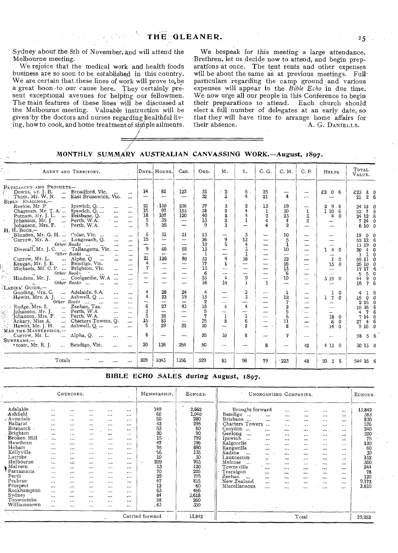Sydney about the 8th of November, and will attend the Melbourne meeting.

We rejoice that the medical work and health foods business are so soon to be established in this country. We are certain that-these lines of work will prove to,be a. great boon -to our cause here, They certainly present exceptional avenues for helping our fellowmen. The main features of *these* lines will be discussed at the Melbourne meeting. Valuable instruction will be given by the doctors and nurses regarding healthful living, how to cook, and home treatment of simple ailments.

We bespeak for this meeting a large attendance. Brethren, let us decide now to attend, and begin preparations at once. The tent rents and other expenses will be about the same as at previous meetings. Full particulars regarding the camp ground and various expenses will appear in the *Bible Echo* in due time. We now urge all our people in this Conference to begin their preparations to attend. Each church should elect a full number of delegates at an early date, so that they will have time to arrange home affairs for their absence. A. G. DANIELLS. A. G. DANIELLS.

MONTHLY SUMMARY AUSTRALIAN CANVASSING WORK.—August, 1897.

| AGENT AND TERRITORY.                                                                                                                                                                                                                                                                                                                                                                                                                                                                                                                                                                                                                                                                                           |                                                                                                                 | Days. Hours.                                                                            | Can.                                                                                   | ORD.                                                            | M.                                                                                                  | L.                                                                                                     | C. G.                                                                                                                                              | C. M.                                                        | C. P.                                                                                                 | HELPS                                                                                                              | TOTAL<br>VALUE.                                                                                                                                                                                                     |
|----------------------------------------------------------------------------------------------------------------------------------------------------------------------------------------------------------------------------------------------------------------------------------------------------------------------------------------------------------------------------------------------------------------------------------------------------------------------------------------------------------------------------------------------------------------------------------------------------------------------------------------------------------------------------------------------------------------|-----------------------------------------------------------------------------------------------------------------|-----------------------------------------------------------------------------------------|----------------------------------------------------------------------------------------|-----------------------------------------------------------------|-----------------------------------------------------------------------------------------------------|--------------------------------------------------------------------------------------------------------|----------------------------------------------------------------------------------------------------------------------------------------------------|--------------------------------------------------------------|-------------------------------------------------------------------------------------------------------|--------------------------------------------------------------------------------------------------------------------|---------------------------------------------------------------------------------------------------------------------------------------------------------------------------------------------------------------------|
| PATRIARCHS AND PROPHETS-<br>Broadford, Vic.<br>Downs, ur. J. B.<br>$\cdots$<br><br>Thom, Mr. W. N.<br>East Brunswick, Vic.<br>$\cdots$<br>BIBLE READINGS,-                                                                                                                                                                                                                                                                                                                                                                                                                                                                                                                                                     | 14                                                                                                              | 82<br>--                                                                                | 122<br>$\overline{\phantom{0}}$                                                        | 32<br>32                                                        | $\mathbf{2}$<br>×<br>3                                                                              | 5<br>4                                                                                                 | 25<br>21                                                                                                                                           | 4                                                            | --<br>—                                                                                               | £2 0 6                                                                                                             | £23 8 0<br>21<br>2 <sub>6</sub>                                                                                                                                                                                     |
| Ipswich, Q<br>Reekie, Mr. P<br>$\mathbf{r}$<br><br>$\cdots$<br>Chapman, Mr. T. A<br>Ipswich, $Q_{\cdot}$<br>$\cdots$<br>$\cdots$<br>Putnam, Mr. J. L.  Brisbane, O.<br>$\cdots$<br>$\cdots$<br>Perth, W.A.<br>Johanson, Mr. J<br><br>$\cdots$<br>Perth, W.A.<br>Iohanson, Mrs. F.<br>$\sim$<br>$\ddotsc$<br>$\cdots$                                                                                                                                                                                                                                                                                                                                                                                           | 21<br>15<br>18<br>5<br>5                                                                                        | - 130<br>97<br>107<br>35<br>26                                                          | 236<br>153<br>120<br>$\overbrace{\phantom{1232211}}$<br>-                              | 37<br>38<br>40<br>13<br>9                                       | $\mathbf{z}$<br>$\overline{2}$<br>8<br>$\overline{\mathbf{2}}$<br>3                                 | $\boldsymbol{2}$<br>4<br>4<br>$\mathbf{1}$<br>$\overline{ }$                                           | 13<br>$\mathbf{1}$<br>$\overline{2}$<br>4<br>4                                                                                                     | 19<br>30<br>23<br>$\overline{4}$<br>$\mathbf{2}$             | $\overline{\phantom{a}}$<br>1<br>3<br>$\mathbf{2}$                                                    | 9.6<br>2<br>110<br>6<br>4<br>0                                                                                     | 24 12 0<br>7<br>22<br>6<br>24 12 6<br>7 14 0<br>61000                                                                                                                                                               |
| Н. Н. Воок.—<br>Blunden, Mr. G. H.  Colac, Vic.<br>$\mathcal{L}$<br>$\cdots$<br>Currow, Mr. A.<br>Longreach, Q.<br>$\cdots$<br><br>Other Books<br>$\ddotsc$<br>$\ddotsc$<br><br>$\cdots$<br>Diverall, Mr. J. C.  Tallangatta, Vic.<br>$\cdots$<br>Other Books<br>$\cdots$<br>$\ddotsc$<br>$\overline{a}$<br>Currow, Mr. L.<br>Alpha, Q<br>$\cdots$<br>$\ddotsc$<br>$\ddot{\phantom{a}}$<br>$\cdots$<br>Keegan, Mr. J. E.<br>Bendigo, Vic.<br>$\cdots$<br>Michaels, Mr. C. P.  Brighton, Vic.<br>$\cdots$<br>$\cdots$<br>Other Books<br>$\ddot{\phantom{a}}$<br>$\cdots$<br>Coolgardie, W.A.<br>Hindson, Mr. J.<br>$\ddotsc$<br>$\cdots$<br>Other Books<br>$\ddotsc$<br>$\cdots$<br>$\cdots$<br>LADIES' GUIDE.- | 5<br>15<br>-<br>9<br>$\overline{\phantom{0}}$<br>21<br>$\ddot{\bf 4}$<br>7<br>—<br><br>$\overline{\phantom{a}}$ | 31<br>$\overline{\phantom{a}}$<br>÷<br>66<br>--<br>126<br>—<br>and the contract of<br>- | 21<br>-<br>-<br>52<br>80<br>-<br>--<br>$\overline{a}$<br>$\overline{\phantom{a}}$<br>- | 13<br>26<br>10<br>13<br>1<br>32<br>17<br>13<br>6<br>23<br>16    | -<br>9<br>5<br>---<br>4<br>1<br>--<br>$\sim$<br>$\ddot{4}$<br>14                                    | 3<br>12<br>$\overline{4}$<br>$\overline{3}$<br>$\mathbf{1}$<br>16<br>--<br>-<br>-<br>9<br>$\mathbf{I}$ | $\overline{\phantom{0}}$<br>$\overline{\phantom{0}}$<br>---<br>$\overline{\phantom{0}}$<br>$\overline{\phantom{0}}$<br>j<br>-<br>--<br>$\sim$<br>1 | 10<br>5<br>1<br>10<br>12<br>16<br>$\frac{13}{6}$<br>10<br>-- | --<br>$\overline{\phantom{m}}$<br>—<br>--<br><b>CONTRACTOR</b><br>-<br>$\sim$                         | <b>COLOR</b><br>14<br>$\mathbf{0}$ .<br>--<br>1<br>0<br>15<br>$\Omega$<br>--<br>---<br>3 19<br>$\Omega$            | 19<br>$0\quad 0$<br>52 12 6<br>11 19 0<br>$4\quad 0$<br>20<br>$\mathbf{1}$<br>$\mathbf 0$<br>ı<br>55 11 0<br>25 10<br>$\mathbf{0}$<br>17 17<br>6<br>50<br>5<br>9.<br>$\mathbf 0$<br>44<br>$\overline{7}$<br>6<br>15 |
| Adelaide, S.A.<br>Gooding, Virs. C.<br>$\cdots$<br>$\cdots$<br>Hewitt, Mrs. A. J.<br>$\ldots$ Ashwell, Q $\ldots$<br>$\cdots$<br>$\cdots$<br>Other Books<br>$\cdots$<br>$\cdots$<br>$\cdots$<br>Zeehan, Tas.<br>Rudge, Mrs. I.<br>$\cdots$<br>$\cdots$<br>$\cdots$<br>Perth, W.A.<br>Johanson, Mr. J.<br>$\ddots$<br>$\ddotsc$<br>$\cdots$<br>Tohanson, Mrs. F.<br>Perth, W.A.<br>$\mathbf{r}$<br>$\cdots$<br>$\cdots$<br>Charters Towers, Q.<br>Ackary, Miss A.<br>$\cdots$<br>1.1.1<br>Ashwell, Q.<br>Hewitt, Mr. J. H.<br>$\cdots$<br>$\ddotsc$<br>$\cdots$<br>MÁN THE MASTERPIECE,--                                                                                                                       | 4<br>4<br>-<br>6<br>3<br>5<br>15<br>5                                                                           | 28<br>22<br>—<br>27<br>-----<br>28<br>83<br>29                                          | 24<br>19<br>$\overline{\phantom{a}}$<br>43<br><br>–<br>$\overline{\phantom{a}}$<br>32  | 4<br>15<br>$\boldsymbol{2}$<br>15<br>5<br>$\cdot$ 7<br>25<br>10 | --<br>--<br>$\overline{\phantom{a}}$<br>4<br>$\sim$<br>$\mathbf 1$<br>8<br>$\overline{\phantom{0}}$ | 3<br>3<br>---<br>$\overline{4}$<br>--<br>1<br>6<br>$\overline{2}$                                      | $\overline{\phantom{a}}$<br>$\overline{\phantom{0}}$<br>$\overline{\phantom{a}}$<br>$\sim$<br>-<br>$\cdots$<br>$\overline{\phantom{0}}$            | 1<br>12<br>7<br>$\boldsymbol{2}$<br>5<br>5<br>11<br>R        | ---<br>—<br><b>Santa Co</b><br>$\overline{\phantom{a}}$<br>$\overline{a}$<br>$\overline{\phantom{a}}$ | 1<br>0<br>$\mathbf{7}$<br>$\mathbf{1}$<br>0<br>-<br>18<br>$\Omega$<br>$\boldsymbol{\delta}$<br>$\Omega$<br>14<br>0 | 16<br>٠4<br>0 <sub>0</sub><br>15<br>2 15 0<br>16 6<br>15<br>6<br>$\overline{7}$<br>4<br>7 14 0<br>46<br>27<br>9160                                                                                                  |
| Alpha, Q.<br>Currow, Mr. L.<br>$\cdots$<br><br><br>SUNBEAMS.-                                                                                                                                                                                                                                                                                                                                                                                                                                                                                                                                                                                                                                                  | 8                                                                                                               | -                                                                                       | —                                                                                      | 25                                                              | 10                                                                                                  | 8                                                                                                      |                                                                                                                                                    | 7                                                            | ست                                                                                                    |                                                                                                                    | 28<br>56                                                                                                                                                                                                            |
| Bendigo, Vic.<br>rtoate, Mr. R. J.<br>$\cdots$<br>                                                                                                                                                                                                                                                                                                                                                                                                                                                                                                                                                                                                                                                             | 20                                                                                                              | 126                                                                                     | 254                                                                                    | 50                                                              | --                                                                                                  | ---                                                                                                    | 8                                                                                                                                                  | ---                                                          | 42                                                                                                    | 4130                                                                                                               | 30 13 0                                                                                                                                                                                                             |
| be.<br>Totals<br><br><br>                                                                                                                                                                                                                                                                                                                                                                                                                                                                                                                                                                                                                                                                                      | 209                                                                                                             | 1043                                                                                    | 1156                                                                                   | 529                                                             | 83                                                                                                  | 96                                                                                                     | 79                                                                                                                                                 | 223                                                          | 48                                                                                                    | 20<br>6<br>$\mathbf{2}$                                                                                            | 544 16 6                                                                                                                                                                                                            |

BIBLE ECHO SALES during August, 1897.

|                                                                                                                                                                                                                                                                    | CHURCHES.<br>$\mathcal{N}$ .                                                                                                                                                                                                                        |                                                                                                                                                                                  |                                                                                                                                                                                                                                  |                                                                                                                                                                  |                                                                                                                                                                          | MEMBERSHIP.                                                                                                                                | ECHOES.                                                                                                                                           | UNORGANISED COMPANIES.                                                                                                                                                                                                                                                                                                                                                                                                                                                                                                                                                                                                                                                                                                                                                                                                                                                                                                                                                                                                                                                                      | ECHOES.                                                                                                                |
|--------------------------------------------------------------------------------------------------------------------------------------------------------------------------------------------------------------------------------------------------------------------|-----------------------------------------------------------------------------------------------------------------------------------------------------------------------------------------------------------------------------------------------------|----------------------------------------------------------------------------------------------------------------------------------------------------------------------------------|----------------------------------------------------------------------------------------------------------------------------------------------------------------------------------------------------------------------------------|------------------------------------------------------------------------------------------------------------------------------------------------------------------|--------------------------------------------------------------------------------------------------------------------------------------------------------------------------|--------------------------------------------------------------------------------------------------------------------------------------------|---------------------------------------------------------------------------------------------------------------------------------------------------|---------------------------------------------------------------------------------------------------------------------------------------------------------------------------------------------------------------------------------------------------------------------------------------------------------------------------------------------------------------------------------------------------------------------------------------------------------------------------------------------------------------------------------------------------------------------------------------------------------------------------------------------------------------------------------------------------------------------------------------------------------------------------------------------------------------------------------------------------------------------------------------------------------------------------------------------------------------------------------------------------------------------------------------------------------------------------------------------|------------------------------------------------------------------------------------------------------------------------|
| Adelaide<br>Ashfield<br>- Avondale<br>Ballarat<br>Bismarck<br>Brighton<br>Broken Hill<br>Hawthorn<br>Hobart<br>Kellvville<br>Latrobe<br>Melbourne<br>. Malvern<br>Parramatta<br>Perth<br>Prahran<br>Prospect<br>Rockhampton<br>Sydney<br>Toowoomba<br>Williamstown | $\cdots$<br>1.11<br>$\cdots$<br>$\cdots$<br>$\cdots$<br><br>$\cdot$ $\cdot$ $\cdot$<br>$\cdots$<br>$\cdots$<br>$\cdots$<br>$\cdots$<br>$\cdots$<br>$\cdots$<br>$\cdots$<br>$\cdots$<br>$\cdots$<br>$\cdots$<br>$\cdots$<br>$\cdots$<br>$\cdots$<br> | <br>$\sim$<br>$\ddotsc$<br>$\cdots$<br>$\cdots$<br><br>$\cdots$<br><br>$\cdots$<br><br><br>$\ddotsc$<br>$\cdots$<br>$\cdots$<br><br>$\cdots$<br><br><br>$\cdots$<br><br>$\cdots$ | $\cdots$<br>$\cdots$<br>$\cdots$<br>$\cdots$<br><br>$\cdots$<br>$\cdots$<br>$\cdots$<br><br>$\cdots$<br>$\cdots$<br>$\cdots$<br>$\cdots$<br>$\cdots$<br>$\cdots$<br>$\cdots$<br>5.65<br>1.11<br>$\cdots$<br>$\cdots$<br>$\cdots$ | <br><br><br>$\cdots$<br><br>$\cdots$<br><br><br><br><br><br><br>$\cdots$<br><br>$\cdots$<br>$\cdots$<br>$\cdots$<br>$\cdots$<br>$\cdots$<br>$\cdots$<br>$\cdots$ | <br>$\cdots$<br>$\cdots$<br><br>$\cdots$<br>$\cdots$<br>$\cdots$<br><br><br><br><br><br>$\cdots$<br>$\cdots$<br><br><br>$\cdots$<br>$\cdots$<br>$\cdots$<br><br>$\cdots$ | 149<br>66<br>50<br>42<br>53<br>20<br>15<br>47<br>95<br>16<br>10<br>209<br>$\epsilon$<br>23<br>70<br>29<br>47<br>12<br>63<br>84<br>28<br>63 | 2,662<br>1,040<br>280<br>295<br>60<br>90<br>792<br>196<br>690<br>135<br>30<br>903<br>120<br>225<br>775<br>815<br>60<br>466<br>3,618<br>260<br>330 | Brought forward<br>$\cdots$<br><br>$\cdots$<br>$\cdots$<br>Bendigo<br>$\ddotsc$<br>$\cdots$<br>$\cdots$<br>$\cdots$<br><br><br><b>Brisbane</b><br>$\sim$<br>$\cdots$<br>$\cdots$<br>$\cdots$<br>$\cdots$<br><br>Charters Towers<br>$\ddot{\phantom{1}}$<br>$\ddot{\phantom{1}}$<br>. .<br>$\bullet$<br>$\ddot{\phantom{0}}$<br>Croydon<br>$\cdots$<br>$\cdots$<br><br><br><br>Geelong<br>$\ddots$<br>$\cdots$<br><br>$\cdots$<br><br>$\cdots$<br>Ipswich<br>$\cdots$<br><br>$\bullet$<br><br><br>Kalgoorlie<br>$\cdots$<br><br>$\cdots$<br>$\cdots$<br>$\cdots$<br>Kangarilla<br>$\cdots$<br>$\ddotsc$<br><br>$\cdots$<br><br>Kadina<br>$\ddotsc$<br><br><br>$\cdots$<br><br><br>Launceston<br>$\ddot{\phantom{0}}$<br><br>$\cdots$<br><br><br>Melrose<br>$\ddotsc$<br>$\cdots$<br>$\cdots$<br><br><br>$\cdot \cdot$<br>Townsville<br>$\cdots$<br><br>$\cdots$<br>$\cdots$<br><br>Traralgon<br><br>$\cdots$<br><br>$$<br>$\cdots$<br>Zeehan<br>$\cdots$<br>$\cdots$<br><br>$\cdots$<br><br><br>New Zealand<br><br>$\cdots$<br><br><br>$\cdots$<br>Miscellaneous<br><br><br><br><br>$\cdots$ | 13,842<br>363<br>830<br>576<br>240<br>200<br>75<br>120<br>60<br>30<br>132<br>360<br>244<br>78<br>120<br>9,172<br>2,810 |
| A. Post                                                                                                                                                                                                                                                            |                                                                                                                                                                                                                                                     |                                                                                                                                                                                  |                                                                                                                                                                                                                                  | $-$                                                                                                                                                              |                                                                                                                                                                          | Carried forward                                                                                                                            | 13,842                                                                                                                                            | Total                                                                                                                                                                                                                                                                                                                                                                                                                                                                                                                                                                                                                                                                                                                                                                                                                                                                                                                                                                                                                                                                                       | 29,252                                                                                                                 |